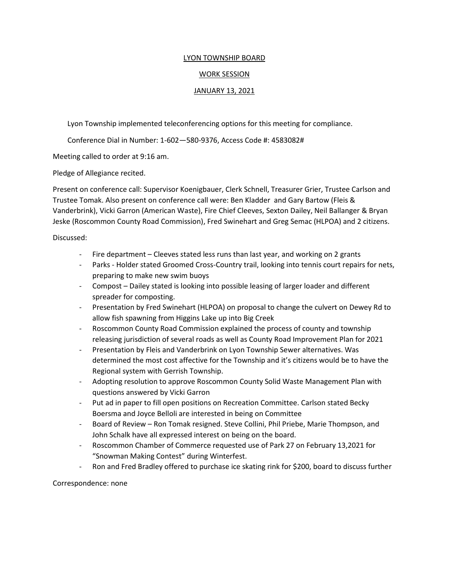## LYON TOWNSHIP BOARD

## WORK SESSION

## JANUARY 13, 2021

Lyon Township implemented teleconferencing options for this meeting for compliance.

Conference Dial in Number: 1-602—580-9376, Access Code #: 4583082#

Meeting called to order at 9:16 am.

Pledge of Allegiance recited.

Present on conference call: Supervisor Koenigbauer, Clerk Schnell, Treasurer Grier, Trustee Carlson and Trustee Tomak. Also present on conference call were: Ben Kladder and Gary Bartow (Fleis & Vanderbrink), Vicki Garron (American Waste), Fire Chief Cleeves, Sexton Dailey, Neil Ballanger & Bryan Jeske (Roscommon County Road Commission), Fred Swinehart and Greg Semac (HLPOA) and 2 citizens.

Discussed:

- Fire department Cleeves stated less runs than last year, and working on 2 grants
- Parks Holder stated Groomed Cross-Country trail, looking into tennis court repairs for nets, preparing to make new swim buoys
- Compost Dailey stated is looking into possible leasing of larger loader and different spreader for composting.
- Presentation by Fred Swinehart (HLPOA) on proposal to change the culvert on Dewey Rd to allow fish spawning from Higgins Lake up into Big Creek
- Roscommon County Road Commission explained the process of county and township releasing jurisdiction of several roads as well as County Road Improvement Plan for 2021
- Presentation by Fleis and Vanderbrink on Lyon Township Sewer alternatives. Was determined the most cost affective for the Township and it's citizens would be to have the Regional system with Gerrish Township.
- Adopting resolution to approve Roscommon County Solid Waste Management Plan with questions answered by Vicki Garron
- Put ad in paper to fill open positions on Recreation Committee. Carlson stated Becky Boersma and Joyce Belloli are interested in being on Committee
- Board of Review Ron Tomak resigned. Steve Collini, Phil Priebe, Marie Thompson, and John Schalk have all expressed interest on being on the board.
- Roscommon Chamber of Commerce requested use of Park 27 on February 13,2021 for "Snowman Making Contest" during Winterfest.
- Ron and Fred Bradley offered to purchase ice skating rink for \$200, board to discuss further

Correspondence: none